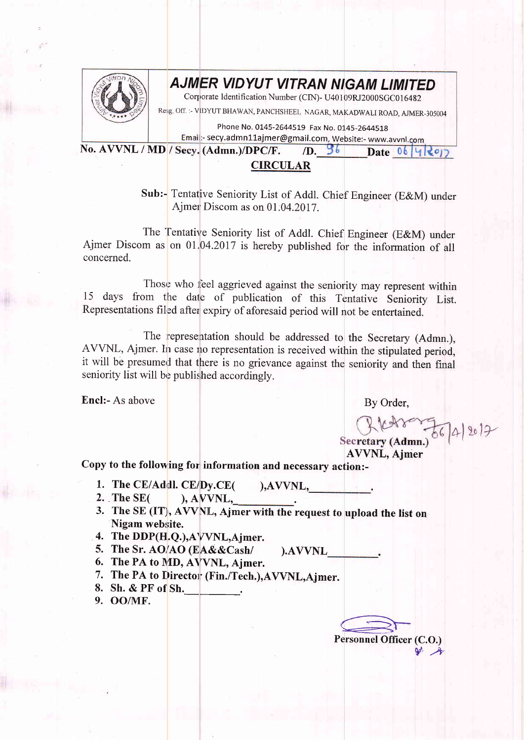

## AJMER VIDYUT VITRAN NIGAM LIMITED

Corporate Identification Number (CIN)- U40109RJ2000SGC016482

Rer;g off. :- vlD'1UT BHAWAN, PANCHSHEEL NAGAR, MAKADWALI ROAD. AJMER-305004

Phone No. 0145-2644519 Fax No. 0145-2644518

Email:- secy.admn11ajmer@gmail.com, Website:- www.avvnl.com<br>ecy. (Admn.)/DPC/F. 7D. 96 Date 06 Y No. AVVNL / MD / Secy. (Admn.)/DPC/F. (D.  $36$  Date 06 4 2017

## CIRCULAR

Sub:- Tentative Seniority List of Addl. Chief Engineer (E&M) under Ajmer Discom as on 01.04.2017.

The 'fentative Seniority list of Addl. Chief Engineer (E&M) under Ajmer Discom as on  $01.04.2017$  is hereby published for the information of all concerned.

Those who feel aggrieved against the seniority may represent within 15 days from the date of publication of this Tentative Seniority List. Representations filed after expiry of aforesaid period will not be entertained.

The representation should be addressed to the Secretary (Admn.). AVVNL, Ajmer. In case no representation is received within the stipulated period, it will be presumed that there is no grievance against the seniority and then final seniority list will be published accordingly.

Encl:- As above By Order,

R (2018 - 2017

AWNL, Ajmer

Copy to the following for information and necessary action:-

- 1. The CE/Addl. CE/D:y.CE( ),AWNL, .
- $)$ , AVVNL,
- 3. The SE  $(IT)$ , AVVNL, Ajmer with the request to upload the list on Nigam website.

).AWNL

- 4. The DDP(H.Q.),AVVNL,Ajmer.
- 5. The Sr. AO/AO (EA&&Cash/
- 6. The PA to MD, AVVNL, Ajmer.
- 7. The PA to Director (Fin./Tech.),AVVNL,Ajmer.
- 8. Sh. & PF of Sh.
- 9. OO/MF.

ersonnel Personnel Officer (C.O.)  $P'$